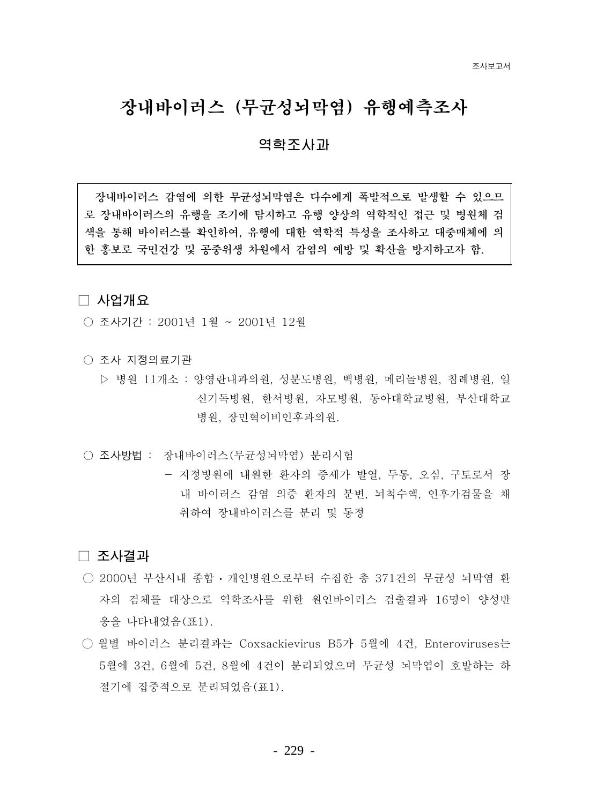# 장내바이러스 (무균성뇌막염) 유행예측조사

### 역학조사과

잣내바이러스 감염에 의한 무규섯뇌막염은 다수에게 폭발적으로 발생할 수 있으므 로 장내바이러스의 유행을 조기에 탐지하고 유행 양상의 역학적인 접근 및 병원체 검 색을 통해 바이러스를 확인하여. 유행에 대한 역학적 특성을 조사하고 대중매체에 의 한 홍보로 국민건강 및 공중위생 차원에서 감염의 예방 및 확산을 방지하고자 함.

#### □ 사업개요

- 조사기간 : 2001년 1월 ~ 2001년 12월
- 조사 지정의료기관
	- ▷ 병원 11개소 : 양영란내과의원, 성분도병원, 백병원, 메리놀병원, 침례병원, 일 신기독병원, 한서병원, 자모병원, 동아대학교병원, 부산대학교 병원, 장민혁이비인후과의원.
- 조사방법 : 장내바이러스 (무균성뇌막염) 분리시험
	- 지정병원에 내원한 환자의 증세가 발열, 두통, 오심, 구토로서 장 내 바이러스 감염 의증 환자의 분변, 뇌척수액, 인후가검물을 채 취하여 장내바이러스를 부리 및 동정

#### □ 조사결과

- 2000년 부산시내 종합 개인병원으로부터 수집한 총 371건의 무규성 뇌막염 화 자의 검체를 대상으로 역학조사를 위한 워이바이러스 검출결과 16명이 양성반 응을 나타내었음(표1).
- 월별 바이러스 분리결과는 Coxsackievirus B5가 5월에 4건, Enteroviruses는 5월에 3건, 6월에 5건, 8월에 4건이 분리되었으며 무규성 뇌막염이 호발하는 하 절기에 집중적으로 분리되었음(표1).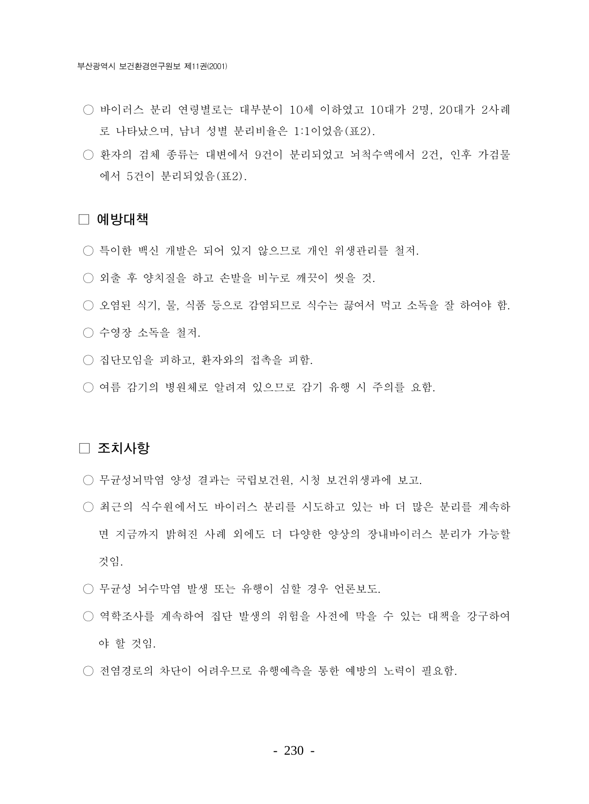- 바이러스 분리 연령별로는 대부분이 10세 이하였고 10대가 2명. 20대가 2사례 로 나타났으며, 남녀 성별 분리비율은 1:1이었음(표2).
- 화자의 검체 종류는 대변에서 9건이 분리되었고 뇌척수액에서 2건. 인후 가검물 에서 5건이 분리되었음(표2).

#### □ 예방대책

- 특이한 백신 개발은 되어 있지 않으므로 개인 위생관리를 철저.
- 외출 후 양치질을 하고 손발을 비누로 깨끗이 씻을 것.
- 오염된 식기, 물, 식품 등으로 감염되므로 식수는 끓여서 먹고 소독을 잘 하여야 함.
- 수영장 소독을 철저.
- 집단모임을 피하고, 환자와의 접촉을 피함.
- 여름 감기의 병원체로 알려져 있으므로 감기 유행 시 주의를 요함.

#### □ 조치사항

- 무균성뇌막염 양성 결과는 국립보건원, 시청 보건위생과에 보고.
- 최근의 식수원에서도 바이러스 분리를 시도하고 있는 바 더 많은 분리를 계속하 면 지금까지 밝혀진 사례 외에도 더 다양한 양상의 장내바이러스 분리가 가능할 것임.
- 무균성 뇌수막염 발생 또는 유행이 심할 경우 언론보도.
- 역학조사를 계속하여 집단 발생의 위험을 사전에 막을 수 있는 대책을 강구하여 야 할 것임.
- 전염경로의 차단이 어려우므로 유행예측을 통한 예방의 노력이 필요함.